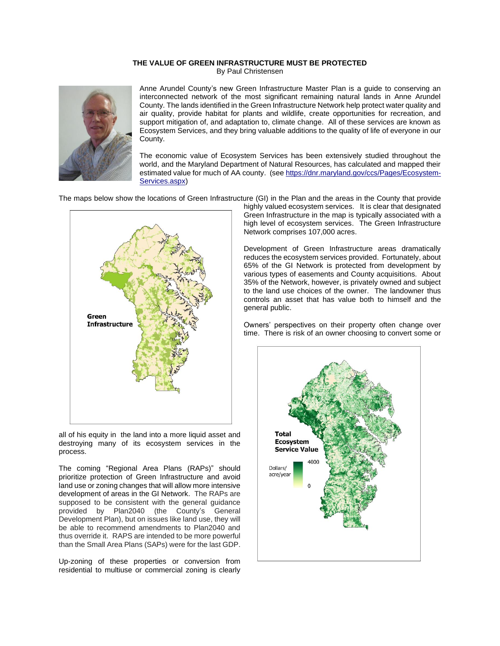## **THE VALUE OF GREEN INFRASTRUCTURE MUST BE PROTECTED** By Paul Christensen



Anne Arundel County's new Green Infrastructure Master Plan is a guide to conserving an interconnected network of the most significant remaining natural lands in Anne Arundel County. The lands identified in the Green Infrastructure Network help protect water quality and air quality, provide habitat for plants and wildlife, create opportunities for recreation, and support mitigation of, and adaptation to, climate change. All of these services are known as Ecosystem Services, and they bring valuable additions to the quality of life of everyone in our County.

The economic value of Ecosystem Services has been extensively studied throughout the world, and the Maryland Department of Natural Resources, has calculated and mapped their estimated value for much of AA county. (see [https://dnr.maryland.gov/ccs/Pages/Ecosystem-](https://dnr.maryland.gov/ccs/Pages/Ecosystem-Services.aspx)[Services.aspx\)](https://dnr.maryland.gov/ccs/Pages/Ecosystem-Services.aspx)

The maps below show the locations of Green Infrastructure (GI) in the Plan and the areas in the County that provide



all of his equity in the land into a more liquid asset and destroying many of its ecosystem services in the process.

The coming "Regional Area Plans (RAPs)" should prioritize protection of Green Infrastructure and avoid land use or zoning changes that will allow more intensive development of areas in the GI Network. The RAPs are supposed to be consistent with the general guidance provided by Plan2040 (the County's General Development Plan), but on issues like land use, they will be able to recommend amendments to Plan2040 and thus override it. RAPS are intended to be more powerful than the Small Area Plans (SAPs) were for the last GDP.

Up-zoning of these properties or conversion from residential to multiuse or commercial zoning is clearly

highly valued ecosystem services. It is clear that designated Green Infrastructure in the map is typically associated with a high level of ecosystem services. The Green Infrastructure Network comprises 107,000 acres.

Development of Green Infrastructure areas dramatically reduces the ecosystem services provided. Fortunately, about 65% of the GI Network is protected from development by various types of easements and County acquisitions. About 35% of the Network, however, is privately owned and subject to the land use choices of the owner. The landowner thus controls an asset that has value both to himself and the general public.

Owners' perspectives on their property often change over time. There is risk of an owner choosing to convert some or